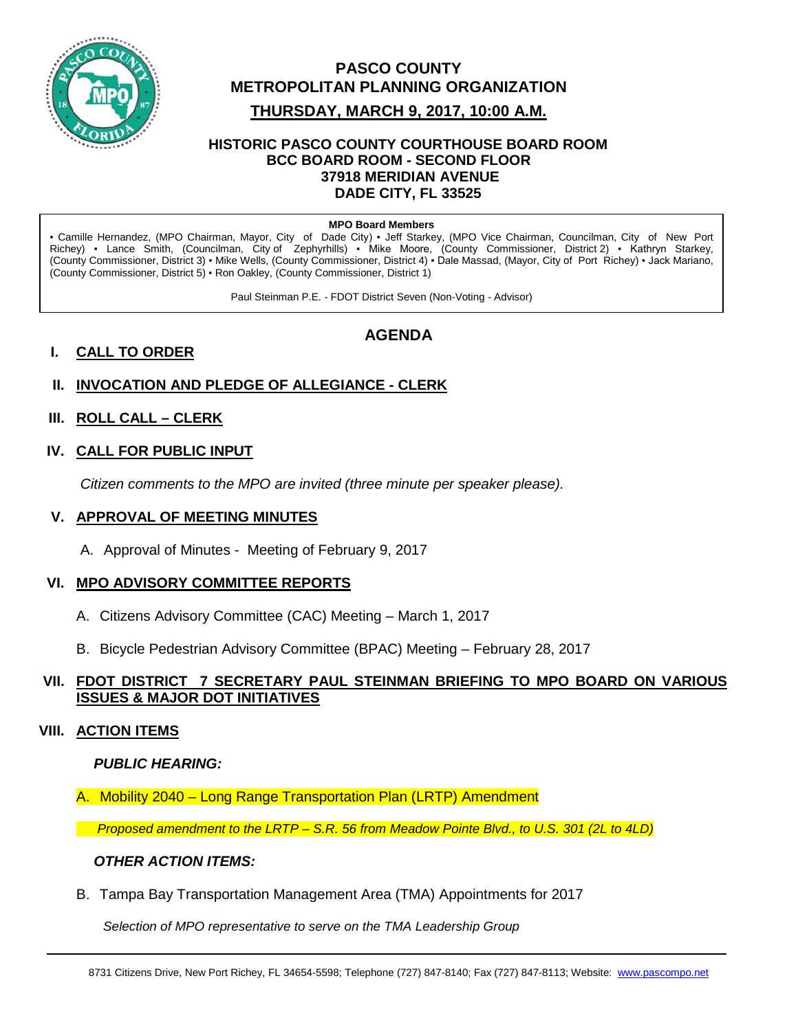

## **PASCO COUNTY METROPOLITAN PLANNING ORGANIZATION**

#### **THURSDAY, MARCH 9, 2017, 10:00 A.M.**

#### **HISTORIC PASCO COUNTY COURTHOUSE BOARD ROOM BCC BOARD ROOM - SECOND FLOOR 37918 MERIDIAN AVENUE DADE CITY, FL 33525**

#### **MPO Board Members**

▪ Camille Hernandez, (MPO Chairman, Mayor, City of Dade City) ▪ Jeff Starkey, (MPO Vice Chairman, Councilman, City of New Port Richey) ▪ Lance Smith, (Councilman, City of Zephyrhills) ▪ Mike Moore, (County Commissioner, District 2) ▪ Kathryn Starkey, (County Commissioner, District 3) ▪ Mike Wells, (County Commissioner, District 4) ▪ Dale Massad, (Mayor, City of Port Richey) ▪ Jack Mariano, (County Commissioner, District 5) ▪ Ron Oakley, (County Commissioner, District 1)

Paul Steinman P.E. - FDOT District Seven (Non-Voting - Advisor)

## **I. CALL TO ORDER**

## **AGENDA**

## **II. INVOCATION AND PLEDGE OF ALLEGIANCE - CLERK**

#### **III. ROLL CALL – CLERK**

#### **IV. CALL FOR PUBLIC INPUT**

*Citizen comments to the MPO are invited (three minute per speaker please).*

#### **V. APPROVAL OF MEETING MINUTES**

A. Approval of Minutes - Meeting of February 9, 2017

#### **VI. MPO ADVISORY COMMITTEE REPORTS**

- A. Citizens Advisory Committee (CAC) Meeting March 1, 2017
- B. Bicycle Pedestrian Advisory Committee (BPAC) Meeting February 28, 2017

#### **VII. FDOT DISTRICT 7 SECRETARY PAUL STEINMAN BRIEFING TO MPO BOARD ON VARIOUS ISSUES & MAJOR DOT INITIATIVES**

#### **VIII. ACTION ITEMS**

#### *PUBLIC HEARING:*

A. Mobility 2040 – Long Range Transportation Plan (LRTP) Amendment

*Proposed amendment to the LRTP – S.R. 56 from Meadow Pointe Blvd., to U.S. 301 (2L to 4LD)*

#### *OTHER ACTION ITEMS:*

B. Tampa Bay Transportation Management Area (TMA) Appointments for 2017

*Selection of MPO representative to serve on the TMA Leadership Group*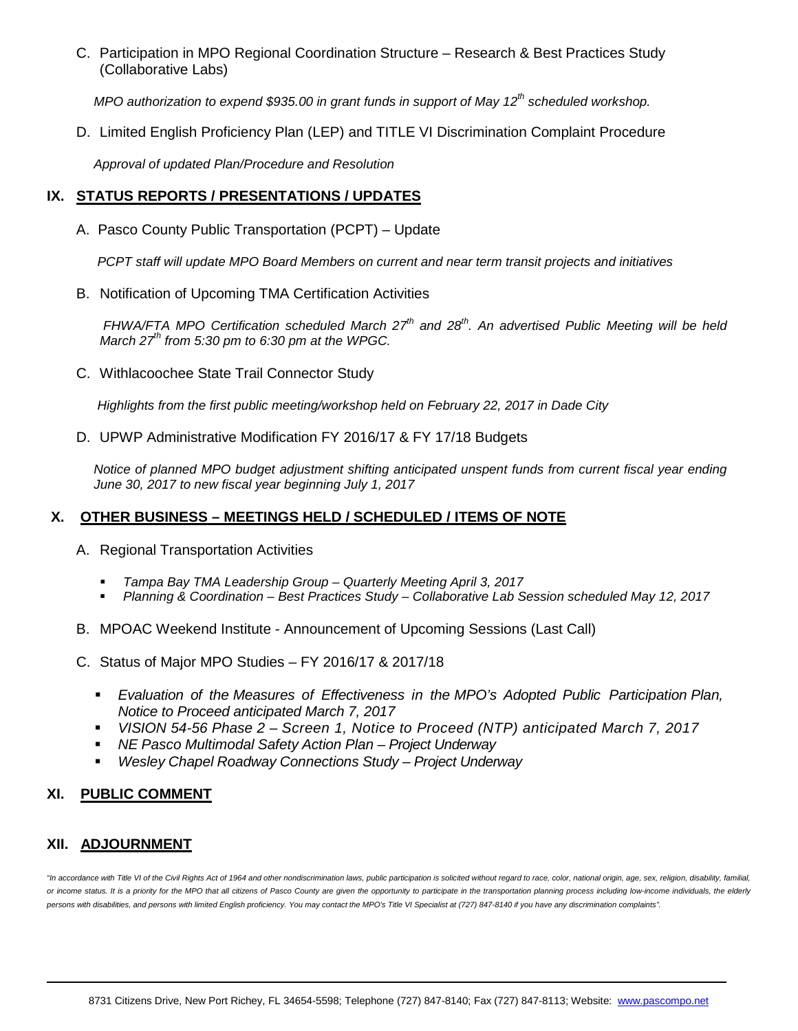C. Participation in MPO Regional Coordination Structure – Research & Best Practices Study (Collaborative Labs)

*MPO authorization to expend \$935.00 in grant funds in support of May 12<sup>th</sup> scheduled workshop.* 

D. Limited English Proficiency Plan (LEP) and TITLE VI Discrimination Complaint Procedure

*Approval of updated Plan/Procedure and Resolution* 

#### **IX. STATUS REPORTS / PRESENTATIONS / UPDATES**

A. Pasco County Public Transportation (PCPT) – Update

*PCPT staff will update MPO Board Members on current and near term transit projects and initiatives*

B. Notification of Upcoming TMA Certification Activities

*FHWA/FTA MPO Certification scheduled March 27<sup>th</sup> and 28<sup>th</sup>. An advertised Public Meeting will be held March 27th from 5:30 pm to 6:30 pm at the WPGC.*

C. Withlacoochee State Trail Connector Study

*Highlights from the first public meeting/workshop held on February 22, 2017 in Dade City* 

D. UPWP Administrative Modification FY 2016/17 & FY 17/18 Budgets

*Notice of planned MPO budget adjustment shifting anticipated unspent funds from current fiscal year ending June 30, 2017 to new fiscal year beginning July 1, 2017*

#### **X. OTHER BUSINESS – MEETINGS HELD / SCHEDULED / ITEMS OF NOTE**

- A. Regional Transportation Activities
	- *Tampa Bay TMA Leadership Group – Quarterly Meeting April 3, 2017*
	- *Planning & Coordination – Best Practices Study – Collaborative Lab Session scheduled May 12, 2017*
- B. MPOAC Weekend Institute Announcement of Upcoming Sessions (Last Call)
- C. Status of Major MPO Studies FY 2016/17 & 2017/18
	- *Evaluation of the Measures of Effectiveness in the MPO's Adopted Public Participation Plan, Notice to Proceed anticipated March 7, 2017*
	- *VISION 54-56 Phase 2 – Screen 1, Notice to Proceed (NTP) anticipated March 7, 2017*
	- *NE Pasco Multimodal Safety Action Plan – Project Underway*
	- *Wesley Chapel Roadway Connections Study – Project Underway*

#### **XI. PUBLIC COMMENT**

#### **XII. ADJOURNMENT**

"In accordance with Title VI of the Civil Rights Act of 1964 and other nondiscrimination laws, public participation is solicited without regard to race, color, national origin, age, sex, religion, disability, familial, *or income status. It is a priority for the MPO that all citizens of Pasco County are given the opportunity to participate in the transportation planning process including low-income individuals, the elderly persons with disabilities, and persons with limited English proficiency. You may contact the MPO's Title VI Specialist at (727) 847-8140 if you have any discrimination complaints".*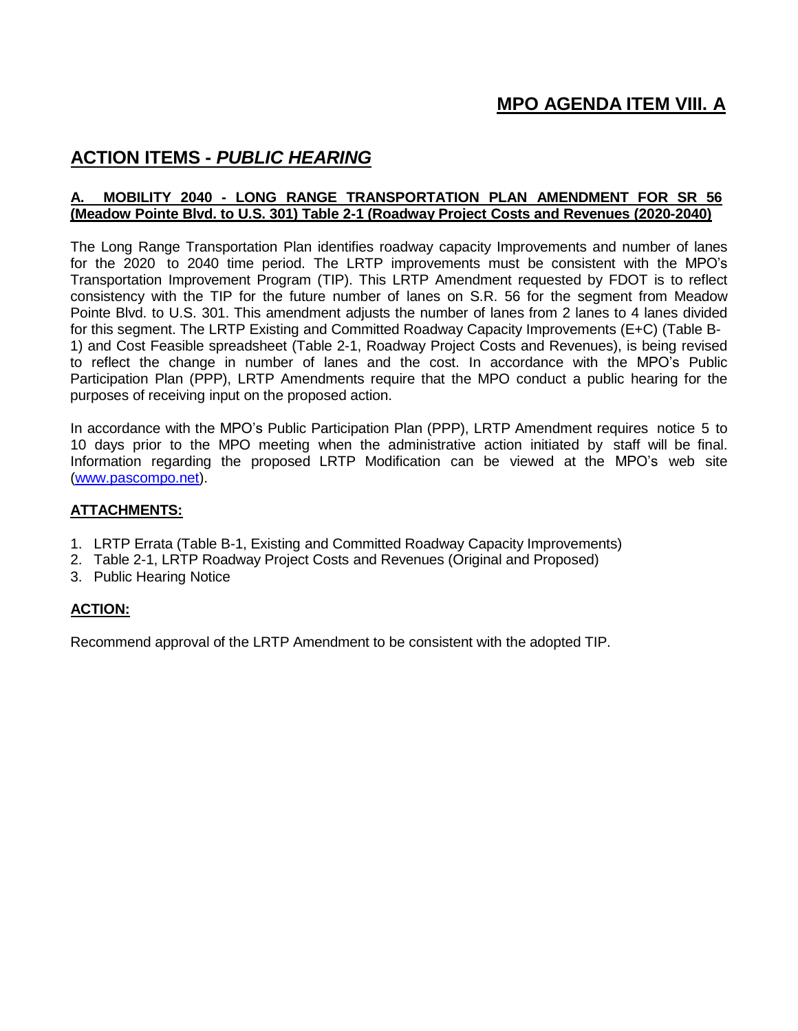## **MPO AGENDA ITEM VIII. A**

## **ACTION ITEMS -** *PUBLIC HEARING*

#### **A. MOBILITY 2040 - LONG RANGE TRANSPORTATION PLAN AMENDMENT FOR SR 56 (Meadow Pointe Blvd. to U.S. 301) Table 2-1 (Roadway Project Costs and Revenues (2020-2040)**

The Long Range Transportation Plan identifies roadway capacity Improvements and number of lanes for the 2020 to 2040 time period. The LRTP improvements must be consistent with the MPO's Transportation Improvement Program (TIP). This LRTP Amendment requested by FDOT is to reflect consistency with the TIP for the future number of lanes on S.R. 56 for the segment from Meadow Pointe Blvd. to U.S. 301. This amendment adjusts the number of lanes from 2 lanes to 4 lanes divided for this segment. The LRTP Existing and Committed Roadway Capacity Improvements (E+C) (Table B-1) and Cost Feasible spreadsheet (Table 2-1, Roadway Project Costs and Revenues), is being revised to reflect the change in number of lanes and the cost. In accordance with the MPO's Public Participation Plan (PPP), LRTP Amendments require that the MPO conduct a public hearing for the purposes of receiving input on the proposed action.

In accordance with the MPO's Public Participation Plan (PPP), LRTP Amendment requires notice 5 to 10 days prior to the MPO meeting when the administrative action initiated by staff will be final. Information regarding the proposed LRTP Modification can be viewed at the MPO's web site [\(www.pascompo.net\)](http://www.pascompo.net/).

#### **ATTACHMENTS:**

- 1. LRTP Errata (Table B-1, Existing and Committed Roadway Capacity Improvements)
- 2. Table 2-1, LRTP Roadway Project Costs and Revenues (Original and Proposed)
- 3. Public Hearing Notice

#### **ACTION:**

Recommend approval of the LRTP Amendment to be consistent with the adopted TIP.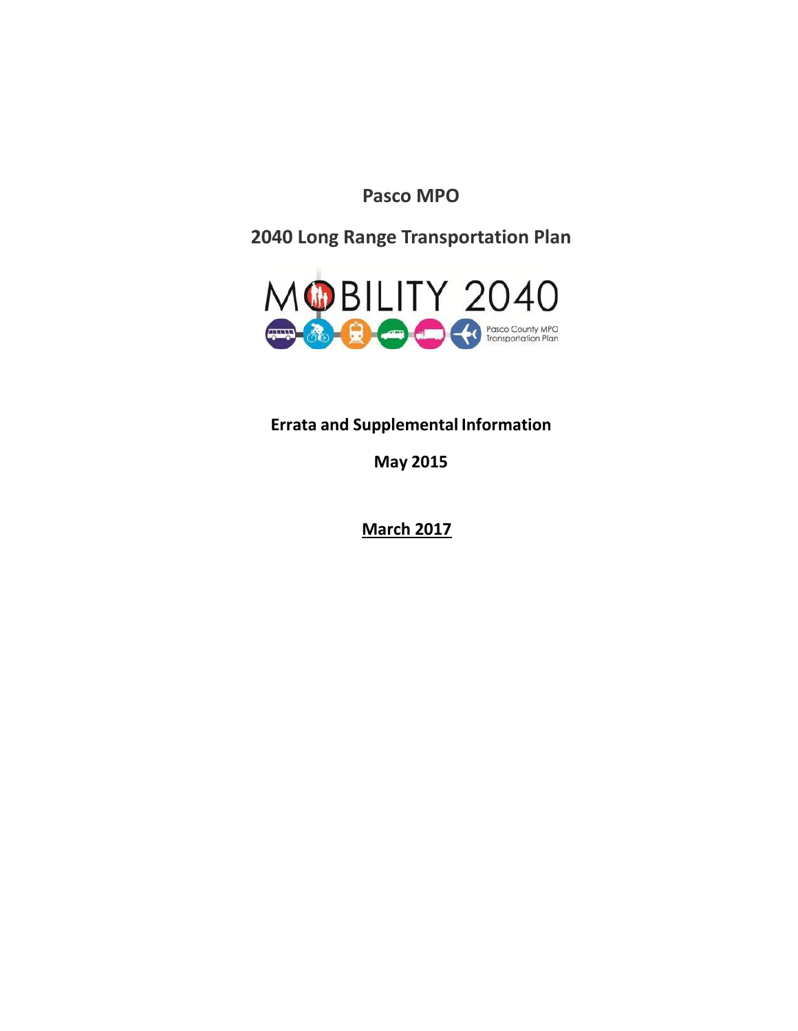**Pasco MPO**

**2040 Long Range Transportation Plan**



**Errata and Supplemental Information**

**May 2015**

**March 2017**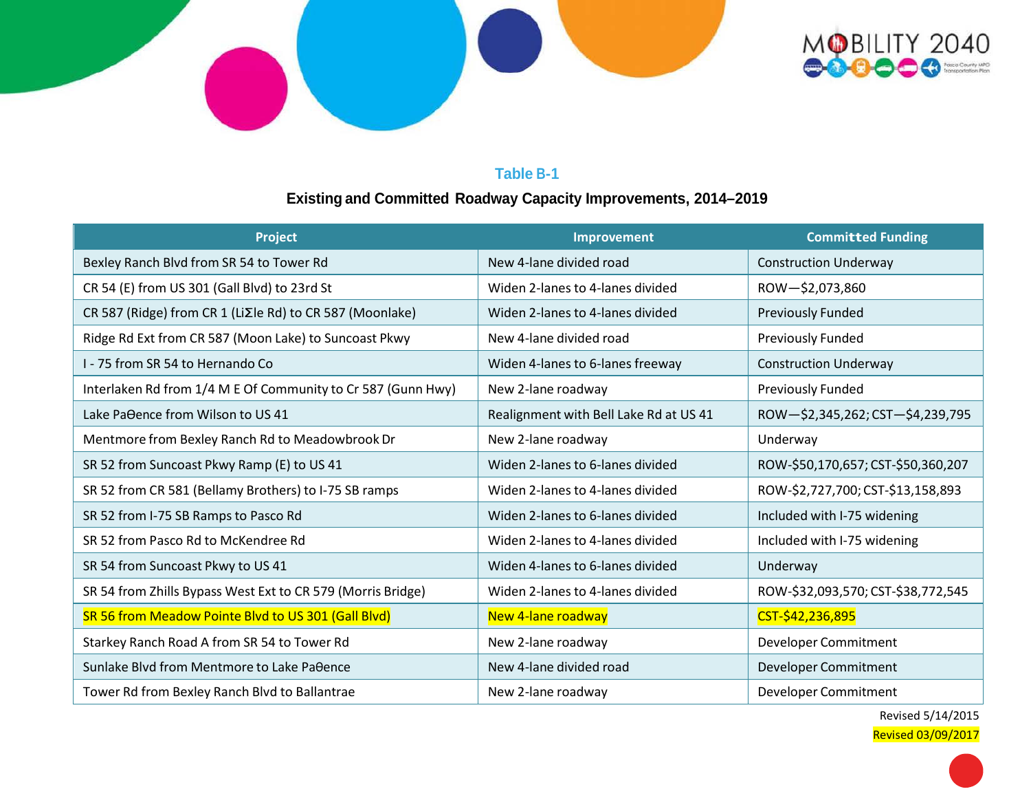

## **Table B-1**

# **Existing and Committed Roadway Capacity Improvements, 2014–2019**

| Project                                                      | <b>Improvement</b>                     | <b>Committed Funding</b>           |  |  |  |  |
|--------------------------------------------------------------|----------------------------------------|------------------------------------|--|--|--|--|
| Bexley Ranch Blvd from SR 54 to Tower Rd                     | New 4-lane divided road                | <b>Construction Underway</b>       |  |  |  |  |
| CR 54 (E) from US 301 (Gall Blvd) to 23rd St                 | Widen 2-lanes to 4-lanes divided       | ROW-\$2,073,860                    |  |  |  |  |
| CR 587 (Ridge) from CR 1 (LiΣle Rd) to CR 587 (Moonlake)     | Widen 2-lanes to 4-lanes divided       | <b>Previously Funded</b>           |  |  |  |  |
| Ridge Rd Ext from CR 587 (Moon Lake) to Suncoast Pkwy        | New 4-lane divided road                | Previously Funded                  |  |  |  |  |
| 1 - 75 from SR 54 to Hernando Co                             | Widen 4-lanes to 6-lanes freeway       | <b>Construction Underway</b>       |  |  |  |  |
| Interlaken Rd from 1/4 M E Of Community to Cr 587 (Gunn Hwy) | New 2-lane roadway                     | <b>Previously Funded</b>           |  |  |  |  |
| Lake Pa $\theta$ ence from Wilson to US 41                   | Realignment with Bell Lake Rd at US 41 | ROW-\$2,345,262; CST-\$4,239,795   |  |  |  |  |
| Mentmore from Bexley Ranch Rd to Meadowbrook Dr              | New 2-lane roadway                     | Underway                           |  |  |  |  |
| SR 52 from Suncoast Pkwy Ramp (E) to US 41                   | Widen 2-lanes to 6-lanes divided       | ROW-\$50,170,657; CST-\$50,360,207 |  |  |  |  |
| SR 52 from CR 581 (Bellamy Brothers) to I-75 SB ramps        | Widen 2-lanes to 4-lanes divided       | ROW-\$2,727,700; CST-\$13,158,893  |  |  |  |  |
| SR 52 from I-75 SB Ramps to Pasco Rd                         | Widen 2-lanes to 6-lanes divided       | Included with I-75 widening        |  |  |  |  |
| SR 52 from Pasco Rd to McKendree Rd                          | Widen 2-lanes to 4-lanes divided       | Included with I-75 widening        |  |  |  |  |
| SR 54 from Suncoast Pkwy to US 41                            | Widen 4-lanes to 6-lanes divided       | Underway                           |  |  |  |  |
| SR 54 from Zhills Bypass West Ext to CR 579 (Morris Bridge)  | Widen 2-lanes to 4-lanes divided       | ROW-\$32,093,570; CST-\$38,772,545 |  |  |  |  |
| SR 56 from Meadow Pointe Blvd to US 301 (Gall Blvd)          | New 4-lane roadway                     | CST-\$42,236,895                   |  |  |  |  |
| Starkey Ranch Road A from SR 54 to Tower Rd                  | New 2-lane roadway                     | Developer Commitment               |  |  |  |  |
| Sunlake Blvd from Mentmore to Lake Paθence                   | New 4-lane divided road                | Developer Commitment               |  |  |  |  |
| Tower Rd from Bexley Ranch Blvd to Ballantrae                | New 2-lane roadway                     | Developer Commitment               |  |  |  |  |

Revised 5/14/2015 Revised 03/09/2017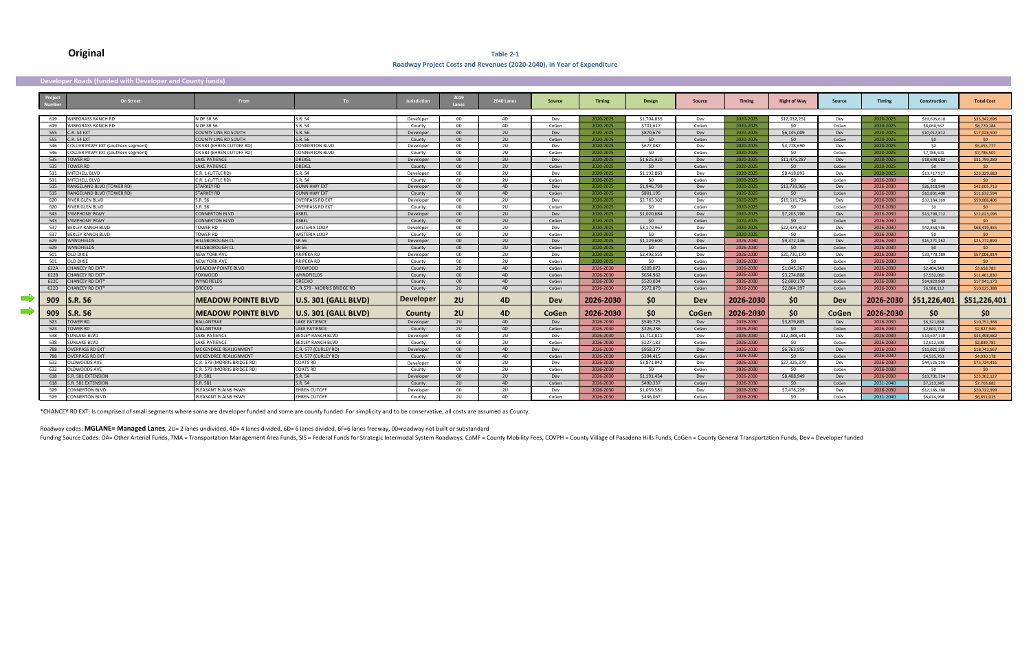#### **Original Table 2-1 Roadway Project Costs and Revenues (2020-2040), in Year of Expenditure**

#### **Developer Roads (funded with Developer and County funds)**

|          |      | On Street                                  | <b>From</b>                  | To:                         | Jurisdiction     | 2019<br>Lanes   | <b>2040 Lanes</b> | <b>Source</b> | <b>Timing</b> | <b>Design</b>   | <b>Source</b> | <b>Timing</b> | <b>Right of Way</b> | Source     | Timing    | <b>Construction</b> | <b>Total Cost</b> |
|----------|------|--------------------------------------------|------------------------------|-----------------------------|------------------|-----------------|-------------------|---------------|---------------|-----------------|---------------|---------------|---------------------|------------|-----------|---------------------|-------------------|
|          | 619  | WIRFGRASS RANCH RD                         | <b>N OF SR 56</b>            | S.R. 54                     | Developer        | $00 -$          | 4D                | Dev           | 2020-2025     | \$1.704.835     | Dev           | 2020-2025     | \$12,032,251        | Dev        | 2020-2025 | \$19,605,610        | \$33,342,696      |
|          | 619  | <b>NIREGRASS RANCH RD</b>                  | N OF SR 56                   | S.R. 54                     | County           | $00\,$          | 4D                | CoGen         | 2020-2025     | \$701.617       | CoGen         | 2020-2025     | SO.                 | CoGen      | 2020-2025 | \$8.068.567         | \$8,770,184       |
|          | 555  | <b>C.R. 54 EXT</b>                         | COUNTY LINF RD SOUTH         | S.R. 56                     | Developer        | 00 <sup>1</sup> | 2U                | Dev           | 2020-2025     | \$870,679       | Dev           | 2020-2025     | \$6,145,009         | Dev        | 2020-2025 | \$10.012.812        | \$17,028,500      |
|          | 555  | <b>C.R. 54 EXT</b>                         | <b>COUNTY LINE RD SOUTH</b>  | S.R. 56                     | County           | 00              | 2U                | CoGen         | 2020-2025     | SO <sub>2</sub> | CoGen         | 2020-2025     | SO                  | CoGen      | 2020-2025 | 50                  | $50^{\circ}$      |
|          | 546  | <b>COLLIER PKWY EXT (southern segment)</b> | CR 583 (EHREN CUTOFF RD)     | <b>CONNERTON BLVD</b>       | Developer        | $00 -$          | 2U                | Dev           | 2020-2025     | \$677.087       | Dev           | 2020-2025     | \$4,778,690         | Dev        | 2020-2025 | 50                  | \$5,455,777       |
|          | 546  | <b>COLLIER PKWY EXT (southern segment)</b> | CR 583 (EHREN CUTOFF RD)     | CONNERTON BLVD              | County           | 00 <sub>o</sub> | 2U                | CoGen         | 2020-2025     | 50              | CoGen         | 2020-2025     | 50                  | CoGen      | 2020-2025 | \$7,786,501         | \$7,786,501       |
|          | 535  | TOWER RD                                   | LAKE PATIENCE                | <b>DREXEL</b>               | Developer        | 00 <sup>1</sup> | 2U                | Dev           | 2020-2025     | \$1,625,920     | Dev           | 2020-2025     | \$11,475,287        | Dev        | 2020-2025 | \$18,698,082        | \$31,799,289      |
|          | 535  | TOWER RD                                   | <b>LAKF PATIFNCF</b>         | <b>DRFXFL</b>               | County           | 00              | 2U                | CoGen         | 2020-2025     | $50^{\circ}$    | CoGen         | 2020-2025     | 50                  | CoGen      | 2020-2025 | $50^{\circ}$        | $50 -$            |
|          | 511  | MITCHELL BLVD                              | C.R. 1 (LITTLE RD)           | S.R. 54                     | Developer        | $00\,$          | 2U                | Dev           | 2020-2025     | \$1.192.863     | Dev           | 2020-2025     | \$8,418,893         | Dev        | 2020-2025 | \$13,717,927        | \$23,329,683      |
|          | 511  | <b>MITCHELL BLVD</b>                       | C.R. 1 (LITTLE RD)           | S.R. 54                     | County           | 00 <sub>o</sub> | 2U                | CoGen         | 2020-2025     | 50              | CoGen         | 2020-2025     | \$0                 | CoGen      | 2026-2030 | 50                  | $50^{\circ}$      |
|          | 515  | RANGELAND BLVD (TOWER RD)                  | <b>STARKEY RD</b>            | <b>GUNN HWY EXT</b>         | Developer        | 00 <sub>o</sub> | 4D                | Dev           | 2020-2025     | \$1,946,799     | Dev           | 2020-2025     | \$13,739,965        | Dev        | 2026-2030 | \$26,318,949        | \$42,005,713      |
|          | 515  | RANGELAND BLVD (TOWER RD)                  | <b>STARKEY RD</b>            | <b>GUNN HWY EXT</b>         | County           | 00 <sup>1</sup> | 4D                | CoGen         | 2020-2025     | \$801.195       | CoGen         | 2020-2025     | SO.                 | CoGen      | 2026-2030 | \$10,831,400        | \$11,632,594      |
|          | 620  | <b>RIVER GLEN BLVD</b>                     | S.R. 56                      | <b>OVERPASS RD EXT</b>      | Developer        | $00\,$          | 2U                | Dev           | 2020-2025     | \$2.765.302     | Dev           | 2020-2025     | \$19,516,734        | Dev        | 2026-2030 | \$37,384,369        | \$59,666,406      |
|          | 620  | <b>RIVER GLEN BLVD</b>                     | S.R.56                       | <b>OVERPASS RD FXT</b>      | County           | 00 <sup>1</sup> | 2U                | CoGen         | 2020-2025     | 50              | CoGen         | 2020-2025     | 50                  | CoGen      | 2026-2030 | 50                  | - \$0             |
|          | 543  | <b>YMPHONY PKWY</b>                        | <b>CONNERTON BLVD</b>        | ASBEL                       | Developer        | 00              | 2U                | Dev           | 2020-2025     | \$1,020,684     | Dev           | 2020-2025     | \$7,203,700         | Dev        | 2026-2030 | \$13,798,712        | \$22,023,096      |
|          | 543  | <b>YMPHONY PKWY</b>                        | <b>CONNERTON BLVD</b>        | <b>ASBFL</b>                | County           | 00 <sup>1</sup> | 2U                | CoGen         | 2020-2025     | SO <sub>2</sub> | CoGen         | 2020-2025     | 50                  | CoGen      | 2026-2030 | $50^{\circ}$        | SO <sub>2</sub>   |
|          | 537  | BEXLEY RANCH BLVD                          | <b>TOWER RD</b>              | <b>WISTERIA LOOP</b>        | Developer        | $00\,$          | 2U                | Dev           | 2020-2025     | \$3,170,967     | Dev           | 2020-2025     | \$22,379,802        | Dev        | 2026-2030 | \$42,868,586        | \$68,419,355      |
|          | 537  | <b>BEXLEY RANCH BLVD</b>                   | TOWER RD                     | <b>WISTERIA LOOP</b>        | County           | $00\,$          | 2U                | CoGen         | 2020-2025     | 50              | CoGen         | 2020-2025     | SO                  | CoGen      | 2026-2030 | 50                  | $50^{\circ}$      |
|          | 629  | VYNDFIELDS                                 | <b>IILLSBOROUGH CL</b>       | SR 56                       | Developer        | 00              | 2U                | Dev           | 2020-2025     | \$1,129,600     | Dev           | 2026-2030     | \$9,372,136         | Dev        | 2026-2030 | \$15,271,162        | \$25,772,899      |
|          | 629  | <b>NYNDFIELDS</b>                          | <b>HILLSBOROUGH CL</b>       | SR 56                       | County           | 00 <sup>1</sup> | 2U                | CoGen         | 2020-2025     | SO <sub>2</sub> | CoGen         | 2026-2030     | 50                  | CoGen      | 2026-2030 | $50 -$              | SO <sub>2</sub>   |
|          | 501  | OLD DIXIF                                  | <b>NEW YORK AVE</b>          | ARIPFKA RD                  | Developer        | $00 -$          | 2U                | Dev           | 2020-2025     | \$2,498.555     | Dev           | 2026-2030     | \$20,730,170        | Dev        | 2026-2030 | \$33,778,189        | \$57,006,914      |
|          | 501  | <b>OLD DIXIE</b>                           | <b>NEW YORK AVE</b>          | ARIPEKA RD                  | County           | $00\,$          | 2U                | CoGen         | 2020-2025     | SO.             | CoGen         | 2026-2030     | SO.                 | CoGen      | 2026-2030 | 50                  | $50 -$            |
|          | 622A | <b>HANCEY RD EXT*</b>                      | <b>MEADOW POINTE BLVD</b>    | <b>FOXWOOD</b>              | County           | 2D              | 4 <sub>D</sub>    | CoGen         | 2026-2030     | \$209.073       | CoGen         | 2026-2030     | \$1,045,367         | CoGen      | 2026-2030 | \$2.404.343         | \$3,658,783       |
|          | 622B | <b>CHANCEY RD EXT*</b>                     | <b>FOXWOOD</b>               | <b>WYNDFIFLDS</b>           | County           | 00 <sup>1</sup> | 4D                | CoGen         | 2026-2030     | \$654,962       | CoGen         | 2026-2030     | \$3,274,808         | CoGen      | 2026-2030 | \$7,532,060         | \$11,461,830      |
|          | 622C | <b>CHANCEY RD EXT*</b>                     | WYNDFIELDS                   | <b>GRECKO</b>               | County           | 00              | 4D                | CoGen         | 2026-2030     | \$520.034       | CoGen         | 2026-2030     | \$2,600.170         | CoGen      | 2026-2030 | \$14,820,969        | \$17,941,173      |
|          | 622D | <b>CHANCEY RD EXT*</b>                     | <b>GRFCKO</b>                | C.R.579 - MORRIS BRIDGE RD  | County           | 2U              | 4D                | CoGen         | 2026-2030     | \$572,879       | CoGen         | 2026-2030     | \$2,864.397         | CoGen      | 2026-2030 | \$6,588.112         | \$10,025,388      |
| $\equiv$ | 909  | <b>S.R. 56</b>                             | <b>IMEADOW POINTE BLVD</b>   | <b>U.S. 301 (GALL BLVD)</b> | <b>Developer</b> | <b>2U</b>       | 4D                | Dev           | 2026-2030     | \$0             | Dev           | 2026-2030     | \$0                 | <b>Dev</b> | 2026-2030 | \$51,226,401        | \$51,226,401      |
| $\equiv$ | 909  | <b>S.R. 56</b>                             | <b>MEADOW POINTE BLVD</b>    | <b>U.S. 301 (GALL BLVD)</b> | County           | 2U              | 4 <sub>D</sub>    | CoGen         | 2026-2030     | \$0             | CoGen         | 2026-2030     | \$0                 | CoGen      | 2026-2030 | <b>SO</b>           | \$0               |
|          | 523  | <b>TOWER RD</b>                            | <b>BALLANTRAE</b>            | <b>LAKE PATIENCE</b>        | Developer        | 2U              | 4D                | Dev           | 2026-2030     | \$549.725       | Dev           | 2026-2030     | \$3,879,805         | Dev        | 2026-2030 | \$6,321,838         | \$10,751,368      |
|          | 523  | <b>TOWER RD</b>                            | <b>BALLANTRAE</b>            | <b>LAKF PATIFNCF</b>        | County           | 2U              | 4D                | CoGen         | 2026-2030     | \$226,236       | CoGen         | 2026-2030     | 50                  | CoGen      | 2026-2030 | \$2,601.712         | \$2,827,949       |
|          | 538  | <b>JUNLAKE BLVD</b>                        | <b>AKE PATIENCE</b>          | <b>BEXLEY RANCH BLVD</b>    | Developer        | $00\,$          | 2U                | Dev           | 2026-2030     | \$1,712,811     | Dev           | 2026-2030     | \$12,088,541        | Dev        | 2026-2030 | \$19,697,330        | \$33,498,682      |
|          | 538  | UNLAKE BLVD                                | <b>AKF PATIFNCF</b>          | <b>BEXLEY RANCH BLVD</b>    | County           | $00 -$          | 2U                | CoGen         | 2026-2030     | \$227,183       | CoGen         | 2026-2030     | SO.                 | CoGen      | 2026-2030 | \$2,612.598         | \$2,839,781       |
|          | 788  | <b>OVERPASS RD EXT</b>                     | MCKENDREE REALIGNMENT        | C.R. 577 (CURLEY RD)        | Developer        | 00              | 4D                | Dev           | 2026-2030     | \$958,377       | Dev           | 2026-2030     | \$6,763,955         | Dev        | 2026-2030 | \$11,021,335        | \$18,743,667      |
|          | 788  | <b>OVERPASS RD EXT</b>                     | <b>MCKENDREE REALIGNMENT</b> | C.R. 577 (CURLEY RD)        | County           | 00 <sup>1</sup> | 4D                | CoGen         | 2026-2030     | \$394,415       | CoGen         | 2026-2030     | SO <sub>2</sub>     | CoGen      | 2026-2030 | \$4,535,763         | \$4,930,178       |
|          | 632  | <b>DLDWOODS AVE</b>                        | C.R. 579 (MORRIS BRIDGE RD)  | <b>COATS RD</b>             | Developer        | $00\,$          | 2U                | Dev           | 2026-2030     | \$3.871.842     | Dev           | 2026-2030     | \$27.326.379        | Dev        | 2026-2030 | \$44,526,195        | \$75,724,416      |
|          | 632  | <b>JLDWOODS AVE</b>                        | C.R. 579 (MORRIS BRIDGE RD)  | COATS RD                    | County           | $00 -$          | 2U                | CoGen         | 2026-2030     | 50              | CoGen         | 2026-2030     | 50                  | CoGen      | 2026-2030 | -SO                 | $\sim$ 50         |
|          | 618  | .R. 581 EXTENSION                          | S.R. 581                     | S.R. 54                     | Developer        | 00 <sup>1</sup> | 2U                | Dev           | 2026-2030     | \$1,191,454     | Dev           | 2026-2030     | \$8,408,949         | Dev        | 2026-2030 | \$13,701,724        | \$23,302,127      |
|          | 618  | .R. 581 EXTENSION                          | S.R. 581                     | S.R. 54                     | County           | 2U              | 4D                | CoGen         | 2026-2030     | \$490.337       | CoGen         | 2026-2030     | 50                  | CoGen      | 2031-2040 | \$7,213,345         | \$7,703,682       |
|          | 529  | <b>CONNERTON BLVD</b>                      | PLEASANT PLAINS PKWY         | <b>EHREN CUTOF</b>          | Developer        | 00 <sub>o</sub> | 2U                | Dev           | 2026-2030     | \$1,059,581     | Dev           | 2026-2030     | \$7,478,229         | Dev        | 2026-2030 | \$12,185,188        | \$20,722,999      |
|          | 529  | <b>CONNERTON BLVD</b>                      | PLEASANT PLAINS PKWY         | EHREN CUTOFI                | County           | 2 <sub>U</sub>  | 4D                | CoGen         | 2026-2030     | \$436.067       | CoGen         | 2026-2030     | 50                  | CoGen      | 2031-2040 | \$6,414,958         | \$6,851,025       |

\*CHANCEY RD EXT: Is comprised of small segments where some are developer funded and some are county funded. For simplicity and to be conservative, all costs are assumed as County.

Roadway codes: **MGLANE= Managed Lanes**, 2U= 2 lanes undivided, 4D= 4 lanes divided, 6D= 6 lanes divided, 6F=6 lanes freeway, 00=roadway not built or substandard

Funding Source Codes: OA= Other Arterial Funds, TMA = Transportation Management Area Funds, SIS = Federal Funds for Strategic Intermodal System Roadways, CoMF = County Mobility Fees, COVPH = County Village of Pasadena Hill